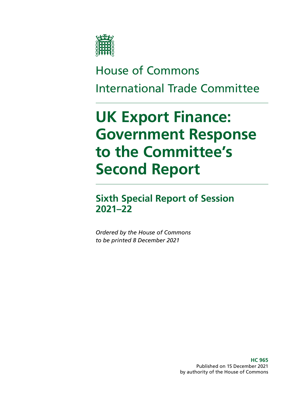

# House of Commons International Trade Committee

# **UK Export Finance: Government Response to the Committee's Second Report**

## **Sixth Special Report of Session 2021–22**

*Ordered by the House of Commons to be printed 8 December 2021*

> **HC 965** Published on 15 December 2021 by authority of the House of Commons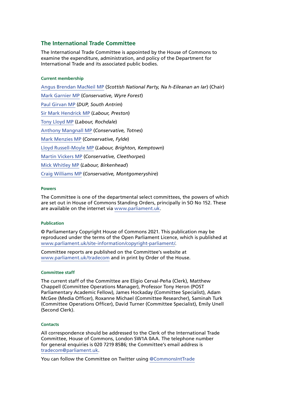### **The International Trade Committee**

The International Trade Committee is appointed by the House of Commons to examine the expenditure, administration, and policy of the Department for International Trade and its associated public bodies.

#### **Current membership**

[Angus Brendan MacNeil MP](https://members.parliament.uk/member/1546/contact) (*Scottish National Party, Na h-Eileanan an Iar*) (Chair) [Mark Garnier MP](https://members.parliament.uk/member/4074/contact) (*Conservative, Wyre Forest*) [Paul Girvan MP](https://members.parliament.uk/member/4633/contact) (*DUP, South Antrim*) [Sir Mark Hendrick MP](https://members.parliament.uk/member/473/contact) (*Labour, Preston*) [Tony Lloyd MP](https://members.parliament.uk/member/450/contact) (*Labour, Rochdale*) [Anthony Mangnall MP](https://members.parliament.uk/member/4762/contact) (*Conservative, Totnes*) [Mark Menzies MP](https://members.parliament.uk/member/3998/contact) (*Conservative, Fylde*) [Lloyd Russell-Moyle MP](https://members.parliament.uk/member/4615/contact) (*Labour, Brighton, Kemptown*) [Martin Vickers MP](https://members.parliament.uk/member/3957/contact) (*Conservative, Cleethorpes*) [Mick Whitley MP](https://members.parliament.uk/member/4755/contact) (*Labour, Birkenhead*) [Craig Williams MP](https://members.parliament.uk/member/4438/contact) (*Conservative, Montgomeryshire*)

#### **Powers**

The Committee is one of the departmental select committees, the powers of which are set out in House of Commons Standing Orders, principally in SO No 152. These are available on the internet via [www.parliament.uk.](https://www.parliament.uk)

#### **Publication**

© Parliamentary Copyright House of Commons 2021. This publication may be reproduced under the terms of the Open Parliament Licence, which is published at [www.parliament.uk/site-information/copyright-parliament/](http://www.parliament.uk/site-information/copyright-parliament/).

Committee reports are published on the Committee's website at [www.parliament.uk/tradecom](http://www.parliament.uk/tradecom) and in print by Order of the House.

#### **Committee staff**

The current staff of the Committee are Eligio Cerval-Peña (Clerk), Matthew Chappell (Committee Operations Manager), Professor Tony Heron (POST Parliamentary Academic Fellow), James Hockaday (Committee Specialist), Adam McGee (Media Officer), Roxanne Michael (Committee Researcher), Saminah Turk (Committee Operations Officer), David Turner (Committee Specialist), Emily Unell (Second Clerk).

#### **Contacts**

All correspondence should be addressed to the Clerk of the International Trade Committee, House of Commons, London SW1A 0AA. The telephone number for general enquiries is 020 7219 8586; the Committee's email address is [tradecom@parliament.uk.](mailto:tradecom%40parliament.uk?subject=)

You can follow the Committee on Twitter using [@CommonsIntTrade](https://twitter.com/commonsinttrade)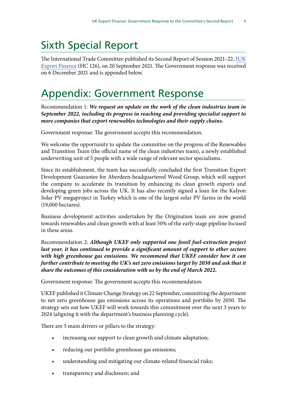# Sixth Special Report

The International Trade Committee published its Second Report of Session 2021–22, [IUK](https://publications.parliament.uk/pa/cm5802/cmselect/cmintrade/126/summary.html) [Export Finance](https://publications.parliament.uk/pa/cm5802/cmselect/cmintrade/126/summary.html) (HC 126), on 20 September 2021. The Government response was received on 6 December 2021 and is appended below.

## Appendix: Government Response

Recommendation 1: *We request an update on the work of the clean industries team in September 2022, including its progress in reaching and providing specialist support to more companies that export renewables technologies and their supply chains.*

Government response: The government accepts this recommendation.

We welcome the opportunity to update the committee on the progress of the Renewables and Transition Team (the official name of the clean industries team), a newly established underwriting unit of 5 people with a wide range of relevant sector specialisms.

Since its establishment, the team has successfully concluded the first Transition Export Development Guarantee for Aberdeen-headquartered Wood Group, which will support the company to accelerate its transition by enhancing its clean growth exports and developing green jobs across the UK. It has also recently signed a loan for the Kalyon Solar PV megaproject in Turkey which is one of the largest solar PV farms in the world (19,000 hectares).

Business development activities undertaken by the Origination team are now geared towards renewables and clean growth with at least 50% of the early-stage pipeline focused in these areas.

Recommendation 2: *Although UKEF only supported one fossil fuel-extraction project last year, it has continued to provide a significant amount of support to other sectors with high greenhouse gas emissions. We recommend that UKEF consider how it can further contribute to meeting the UK's net zero emissions target by 2030 and ask that it share the outcomes of this consideration with us by the end of March 2022.*

Government response: The government accepts this recommendation.

UKEF published it Climate Change Strategy on 22 September, committing the department to net zero greenhouse gas emissions across its operations and portfolio by 2050. The strategy sets out how UKEF will work towards this commitment over the next 3 years to 2024 (aligning it with the department's business planning cycle).

There are 5 main drivers or pillars to the strategy:

- increasing our support to clean growth and climate adaptation;
- reducing our portfolio greenhouse gas emissions;
- understanding and mitigating our climate-related financial risks;
- transparency and disclosure; and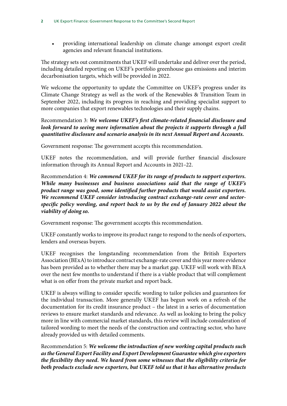• providing international leadership on climate change amongst export credit agencies and relevant financial institutions.

The strategy sets out commitments that UKEF will undertake and deliver over the period, including detailed reporting on UKEF's portfolio greenhouse gas emissions and interim decarbonisation targets, which will be provided in 2022.

We welcome the opportunity to update the Committee on UKEF's progress under its Climate Change Strategy as well as the work of the Renewables & Transition Team in September 2022, including its progress in reaching and providing specialist support to more companies that export renewables technologies and their supply chains.

Recommendation 3: *We welcome UKEF's first climate-related financial disclosure and*  look forward to seeing more information about the projects it supports through a full *quantitative disclosure and scenario analysis in its next Annual Report and Accounts.*

Government response: The government accepts this recommendation.

UKEF notes the recommendation, and will provide further financial disclosure information through its Annual Report and Accounts in 2021–22.

Recommendation 4: *We commend UKEF for its range of products to support exporters. While many businesses and business associations said that the range of UKEF's product range was good, some identified further products that would assist exporters. We recommend UKEF consider introducing contract exchange-rate cover and sectorspecific policy wording, and report back to us by the end of January 2022 about the viability of doing so.*

Government response: The government accepts this recommendation.

UKEF constantly works to improve its product range to respond to the needs of exporters, lenders and overseas buyers.

UKEF recognises the longstanding recommendation from the British Exporters Association (BExA) to introduce contract exchange-rate cover and this year more evidence has been provided as to whether there may be a market gap. UKEF will work with BExA over the next few months to understand if there is a viable product that will complement what is on offer from the private market and report back.

UKEF is always willing to consider specific wording to tailor policies and guarantees for the individual transaction. More generally UKEF has begun work on a refresh of the documentation for its credit insurance product – the latest in a series of documentation reviews to ensure market standards and relevance. As well as looking to bring the policy more in line with commercial market standards, this review will include consideration of tailored wording to meet the needs of the construction and contracting sector, who have already provided us with detailed comments.

Recommendation 5: *We welcome the introduction of new working capital products such as the General Export Facility and Export Development Guarantee which give exporters the flexibility they need. We heard from some witnesses that the eligibility criteria for both products exclude new exporters, but UKEF told us that it has alternative products*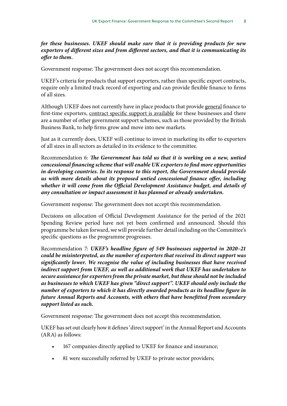### *for these businesses. UKEF should make sure that it is providing products for new exporters of different sizes and from different sectors, and that it is communicating its offer to them.*

Government response: The government does not accept this recommendation.

UKEF's criteria for products that support exporters, rather than specific export contracts, require only a limited track record of exporting and can provide flexible finance to firms of all sizes.

Although UKEF does not currently have in place products that provide <u>general</u> finance to first-time exporters, contract specific support is available for these businesses and there are a number of other government support schemes, such as those provided by the British Business Bank, to help firms grow and move into new markets.

Just as it currently does, UKEF will continue to invest in marketing its offer to exporters of all sizes in all sectors as detailed in its evidence to the committee.

Recommendation 6: *The Government has told us that it is working on a new, untied concessional financing scheme that will enable UK exporters to find more opportunities in developing countries. In its response to this report, the Government should provide us with more details about its proposed untied concessional finance offer, including whether it will come from the Official Development Assistance budget, and details of any consultation or impact assessment it has planned or already undertaken.*

Government response: The government does not accept this recommendation.

Decisions on allocation of Official Development Assistance for the period of the 2021 Spending Review period have not yet been confirmed and announced. Should this programme be taken forward, we will provide further detail including on the Committee's specific questions as the programme progresses.

Recommendation 7: *UKEF's headline figure of 549 businesses supported in 2020–21 could be misinterpreted, as the number of exporters that received its direct support was significantly lower. We recognise the value of including businesses that have received*  indirect support from UKEF, as well as additional work that UKEF has undertaken to *secure assistance for exporters from the private market, but these should not be included as businesses to which UKEF has given "direct support". UKEF should only include the number of exporters to which it has directly awarded products as its headline figure in future Annual Reports and Accounts, with others that have benefitted from secondary support listed as such.*

Government response: The government does not accept this recommendation.

UKEF has set out clearly how it defines 'direct support' in the Annual Report and Accounts (ARA) as follows:

- 167 companies directly applied to UKEF for finance and insurance;
- 81 were successfully referred by UKEF to private sector providers;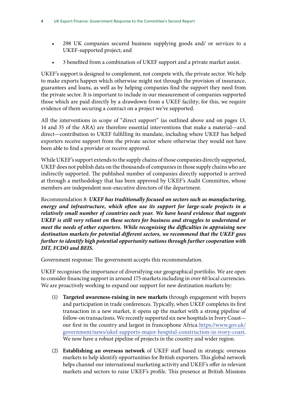- 298 UK companies secured business supplying goods and/ or services to a UKEF-supported project; and
- 3 benefited from a combination of UKEF support and a private market assist.

UKEF's support is designed to complement, not compete with, the private sector. We help to make exports happen which otherwise might not through the provision of insurance, guarantees and loans, as well as by helping companies find the support they need from the private sector. It is important to include in our measurement of companies supported those which are paid directly by a drawdown from a UKEF facility; for this, we require evidence of them securing a contract on a project we've supported.

All the interventions in scope of "direct support" (as outlined above and on pages 13, 14 and 35 of the ARA) are therefore essential interventions that make a material—and direct—contribution to UKEF fulfilling its mandate, including where UKEF has helped exporters receive support from the private sector where otherwise they would not have been able to find a provider or receive approval.

While UKEF's support extends to the supply chains of those companies directly supported, UKEF does not publish data on the thousands of companies in those supply chains who are indirectly supported. The published number of companies directly supported is arrived at through a methodology that has been approved by UKEF's Audit Committee, whose members are independent non-executive directors of the department.

Recommendation 8: *UKEF has traditionally focused on sectors such as manufacturing, energy and infrastructure, which often use its support for large-scale projects in a relatively small number of countries each year. We have heard evidence that suggests UKEF is still very reliant on these sectors for business and struggles to understand or meet the needs of other exporters. While recognising the difficulties in appraising new destination markets for potential different sectors, we recommend that the UKEF goes further to identify high potential opportunity nations through further cooperation with DIT, FCDO and BEIS.*

Government response: The government accepts this recommendation.

UKEF recognises the importance of diversifying our geographical portfolio. We are open to consider financing support in around 175 markets including in over 60 local currencies. We are proactively working to expand our support for new destination markets by:

- (1) **Targeted awareness-raising in new markets** through engagement with buyers and participation in trade conferences. Typically, when UKEF completes its first transaction in a new market, it opens up the market with a strong pipeline of follow-on transactions. We recently supported six new hospitals in Ivory Coast our first in the country and largest in francophone Africa [https://www.gov.uk/](https://www.gov.uk/government/news/ukef-supports-major-hospital-construction-in-ivory-coast) [government/news/ukef-supports-major-hospital-construction-in-ivory-coast.](https://www.gov.uk/government/news/ukef-supports-major-hospital-construction-in-ivory-coast) We now have a robust pipeline of projects in the country and wider region.
- (2) **Establishing an overseas network** of UKEF staff based in strategic overseas markets to help identify opportunities for British exporters. This global network helps channel our international marketing activity and UKEF's offer in relevant markets and sectors to raise UKEF's profile. This presence at British Missions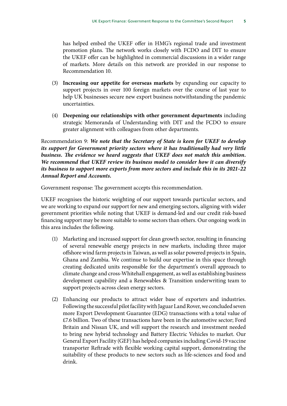has helped embed the UKEF offer in HMG's regional trade and investment promotion plans. The network works closely with FCDO and DIT to ensure the UKEF offer can be highlighted in commercial discussions in a wider range of markets. More details on this network are provided in our response to Recommendation 10.

- (3) **Increasing our appetite for overseas markets** by expanding our capacity to support projects in over 100 foreign markets over the course of last year to help UK businesses secure new export business notwithstanding the pandemic uncertainties.
- (4) **Deepening our relationships with other government departments** including strategic Memoranda of Understanding with DIT and the FCDO to ensure greater alignment with colleagues from other departments.

Recommendation 9: *We note that the Secretary of State is keen for UKEF to develop its support for Government priority sectors where it has traditionally had very little business. The evidence we heard suggests that UKEF does not match this ambition. We recommend that UKEF review its business model to consider how it can diversify its business to support more exports from more sectors and include this in its 2021–22 Annual Report and Accounts.*

Government response: The government accepts this recommendation.

UKEF recognises the historic weighting of our support towards particular sectors, and we are working to expand our support for new and emerging sectors, aligning with wider government priorities while noting that UKEF is demand-led and our credit risk-based financing support may be more suitable to some sectors than others. Our ongoing work in this area includes the following.

- (1) Marketing and increased support for clean growth sector, resulting in financing of several renewable energy projects in new markets, including three major offshore wind farm projects in Taiwan, as well as solar powered projects in Spain, Ghana and Zambia. We continue to build our expertise in this space through creating dedicated units responsible for the department's overall approach to climate change and cross-Whitehall engagement, as well as establishing business development capability and a Renewables & Transition underwriting team to support projects across clean energy sectors.
- (2) Enhancing our products to attract wider base of exporters and industries. Following the successful pilot facility with Jaguar Land Rover, we concluded seven more Export Development Guarantee (EDG) transactions with a total value of £7.6 billion. Two of these transactions have been in the automotive sector; Ford Britain and Nissan UK, and will support the research and investment needed to bring new hybrid technology and Battery Electric Vehicles to market. Our General Export Facility (GEF) has helped companies including Covid-19 vaccine transporter Reftrade with flexible working capital support, demonstrating the suitability of these products to new sectors such as life-sciences and food and drink.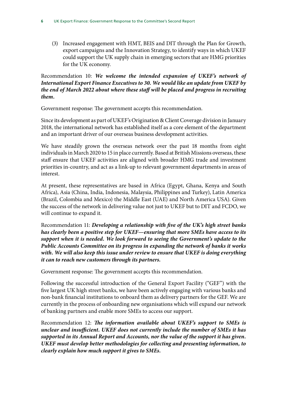(3) Increased engagement with HMT, BEIS and DIT through the Plan for Growth, export campaigns and the Innovation Strategy, to identify ways in which UKEF could support the UK supply chain in emerging sectors that are HMG priorities for the UK economy.

### Recommendation 10: *We welcome the intended expansion of UKEF's network of International Export Finance Executives to 30. We would like an update from UKEF by the end of March 2022 about where these staff will be placed and progress in recruiting them.*

Government response: The government accepts this recommendation.

Since its development as part of UKEF's Origination & Client Coverage division in January 2018, the international network has established itself as a core element of the department and an important driver of our overseas business development activities.

We have steadily grown the overseas network over the past 18 months from eight individuals in March 2020 to 15 in place currently. Based at British Missions overseas, these staff ensure that UKEF activities are aligned with broader HMG trade and investment priorities in-country, and act as a link-up to relevant government departments in areas of interest.

At present, these representatives are based in Africa (Egypt, Ghana, Kenya and South Africa), Asia (China, India, Indonesia, Malaysia, Philippines and Turkey), Latin America (Brazil, Colombia and Mexico) the Middle East (UAE) and North America USA). Given the success of the network in delivering value not just to UKEF but to DIT and FCDO, we will continue to expand it.

Recommendation 11: *Developing a relationship with five of the UK's high street banks has clearly been a positive step for UKEF—ensuring that more SMEs have access to its support when it is needed. We look forward to seeing the Government's update to the Public Accounts Committee on its progress in expanding the network of banks it works with. We will also keep this issue under review to ensure that UKEF is doing everything it can to reach new customers through its partners.*

Government response: The government accepts this recommendation.

Following the successful introduction of the General Export Facility ("GEF") with the five largest UK high street banks, we have been actively engaging with various banks and non-bank financial institutions to onboard them as delivery partners for the GEF. We are currently in the process of onboarding new organisations which will expand our network of banking partners and enable more SMEs to access our support.

Recommendation 12: *The information available about UKEF's support to SMEs is unclear and insufficient. UKEF does not currently include the number of SMEs it has supported in its Annual Report and Accounts, nor the value of the support it has given. UKEF must develop better methodologies for collecting and presenting information, to clearly explain how much support it gives to SMEs.*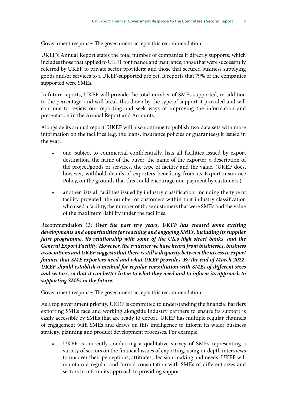Government response: The government accepts this recommendation.

UKEF's Annual Report states the total number of companies it directly supports, which includes those that applied to UKEF for finance and insurance; those that were successfully referred by UKEF to private sector providers; and those that secured business supplying goods and/or services to a UKEF-supported project. It reports that 79% of the companies supported were SMEs.

In future reports, UKEF will provide the total number of SMEs supported, in addition to the percentage, and will break this down by the type of support it provided and will continue to review our reporting and seek ways of improving the information and presentation in the Annual Report and Accounts.

Alongside its annual report, UKEF will also continue to publish two data sets with more information on the facilities (e.g. the loans, insurance policies or guarantees) it issued in the year:

- one, subject to commercial confidentially, lists all facilities issued by export destination, the name of the buyer, the name of the exporter, a description of the project/goods or services, the type of facility and the value. (UKEF does, however, withhold details of exporters benefiting from its Export insurance Policy, on the grounds that this could encourage non-payment by customers.)
- another lists all facilities issued by industry classification, including the type of facility provided, the number of customers within that industry classification who used a facility, the number of those customers that were SMEs and the value of the maximum liability under the facilities.

Recommendation 13: *Over the past few years, UKEF has created some exciting developments and opportunities for reaching and engaging SMEs, including its supplier fairs programme, its relationship with some of the UK's high street banks, and the General Export Facility. However, the evidence we have heard from businesses, business associations and UKEF suggests that there is still a disparity between the access to export finance that SME exporters need and what UKEF provides. By the end of March 2022, UKEF should establish a method for regular consultation with SMEs of different sizes and sectors, so that it can better listen to what they need and to inform its approach to supporting SMEs in the future.*

Government response: The government accepts this recommendation.

As a top government priority, UKEF is committed to understanding the financial barriers exporting SMEs face and working alongside industry partners to ensure its support is easily accessible by SMEs that are ready to export. UKEF has multiple regular channels of engagement with SMEs and draws on this intelligence to inform its wider business strategy, planning and product development processes. For example:

UKEF is currently conducting a qualitative survey of SMEs representing a variety of sectors on the financial issues of exporting, using in-depth interviews to uncover their perceptions, attitudes, decision-making and needs. UKEF will maintain a regular and formal consultation with SMEs of different sizes and sectors to inform its approach to providing support.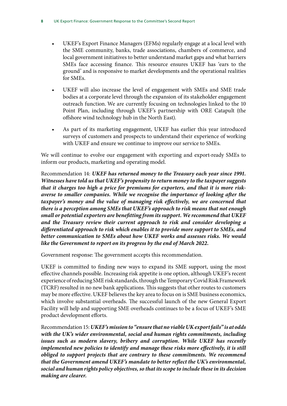- UKEF's Export Finance Managers (EFMs) regularly engage at a local level with the SME community, banks, trade associations, chambers of commerce, and local government initiatives to better understand market gaps and what barriers SMEs face accessing finance. This resource ensures UKEF has 'ears to the ground' and is responsive to market developments and the operational realities for SMEs.
- UKEF will also increase the level of engagement with SMEs and SME trade bodies at a corporate level through the expansion of its stakeholder engagement outreach function. We are currently focusing on technologies linked to the 10 Point Plan, including through UKEF's partnership with ORE Catapult (the offshore wind technology hub in the North East).
- As part of its marketing engagement, UKEF has earlier this year introduced surveys of customers and prospects to understand their experience of working with UKEF and ensure we continue to improve our service to SMEs.

We will continue to evolve our engagement with exporting and export-ready SMEs to inform our products, marketing and operating model.

Recommendation 14: *UKEF has returned money to the Treasury each year since 1991. Witnesses have told us that UKEF's propensity to return money to the taxpayer suggests that it charges too high a price for premiums for exporters, and that it is more riskaverse to smaller companies. While we recognise the importance of looking after the*  taxpayer's money and the value of managing risk effectively, we are concerned that *there is a perception among SMEs that UKEF's approach to risk means that not enough small or potential exporters are benefitting from its support. We recommend that UKEF and the Treasury review their current approach to risk and consider developing a differentiated approach to risk which enables it to provide more support to SMEs, and better communication to SMEs about how UKEF works and assesses risks. We would like the Government to report on its progress by the end of March 2022.*

Government response: The government accepts this recommendation.

UKEF is committed to finding new ways to expand its SME support, using the most effective channels possible. Increasing risk appetite is one option, although UKEF's recent experience of reducing SME risk standards, through the Temporary Covid Risk Framework (TCRF) resulted in no new bank applications. This suggests that other routes to customers may be more effective. UKEF believes the key area to focus on is SME business economics, which involve substantial overheads. The successful launch of the new General Export Facility will help and supporting SME overheads continues to be a focus of UKEF's SME product development efforts.

Recommendation 15: *UKEF's mission to "ensure that no viable UK export fails" is at odds with the UK's wider environmental, social and human rights commitments, including issues such as modern slavery, bribery and corruption. While UKEF has recently implemented new policies to identify and manage these risks more effectively, it is still obliged to support projects that are contrary to these commitments. We recommend that the Government amend UKEF's mandate to better reflect the UK's environmental, social and human rights policy objectives, so that its scope to include these in its decision making are clearer.*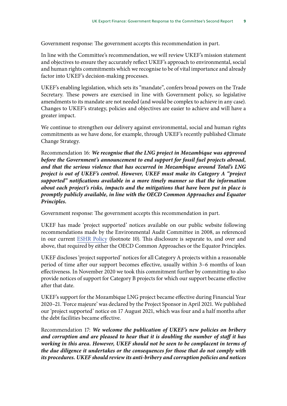Government response: The government accepts this recommendation in part.

In line with the Committee's recommendation, we will review UKEF's mission statement and objectives to ensure they accurately reflect UKEF's approach to environmental, social and human rights commitments which we recognise to be of vital importance and already factor into UKEF's decision-making processes.

UKEF's enabling legislation, which sets its "mandate", confers broad powers on the Trade Secretary. These powers are exercised in line with Government policy, so legislative amendments to its mandate are not needed (and would be complex to achieve in any case). Changes to UKEF's strategy, policies and objectives are easier to achieve and will have a greater impact.

We continue to strengthen our delivery against environmental, social and human rights commitments as we have done, for example, through UKEF's recently published Climate Change Strategy.

Recommendation 16: *We recognise that the LNG project in Mozambique was approved before the Government's announcement to end support for fossil fuel projects abroad, and that the serious violence that has occurred in Mozambique around Total's LNG project is out of UKEF's control. However, UKEF must make its Category A "project supported" notifications available in a more timely manner so that the information about each project's risks, impacts and the mitigations that have been put in place is promptly publicly available, in line with the OECD Common Approaches and Equator Principles.*

Government response: The government accepts this recommendation in part.

UKEF has made 'project supported' notices available on our public website following recommendations made by the Environmental Audit Committee in 2008, as referenced in our current [ESHR Policy](https://www.gov.uk/government/publications/uk-export-finance-environmental-social-and-human-rights-policy/policy-and-practice-on-environmental-social-and-human-rights-due-diligence-and-monitoring) (footnote 10). This disclosure is separate to, and over and above, that required by either the OECD Common Approaches or the Equator Principles.

UKEF discloses 'project supported' notices for all Category A projects within a reasonable period of time after our support becomes effective, usually within 3–6 months of loan effectiveness. In November 2020 we took this commitment further by committing to also provide notices of support for Category B projects for which our support became effective after that date.

UKEF's support for the Mozambique LNG project became effective during Financial Year 2020–21. 'Force majeure' was declared by the Project Sponsor in April 2021. We published our 'project supported' notice on 17 August 2021, which was four and a half months after the debt facilities became effective.

Recommendation 17: *We welcome the publication of UKEF's new policies on bribery and corruption and are pleased to hear that it is doubling the number of staff it has working in this area. However, UKEF should not be seen to be complacent in terms of the due diligence it undertakes or the consequences for those that do not comply with its procedures. UKEF should review its anti-bribery and corruption policies and notices*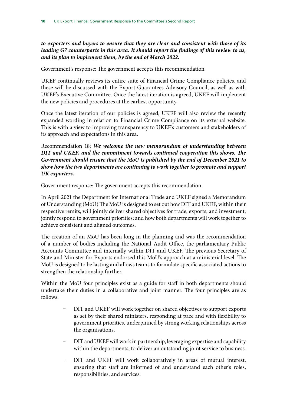*to exporters and buyers to ensure that they are clear and consistent with those of its leading G7 counterparts in this area. It should report the findings of this review to us, and its plan to implement them, by the end of March 2022.*

Government's response: The government accepts this recommendation.

UKEF continually reviews its entire suite of Financial Crime Compliance policies, and these will be discussed with the Export Guarantees Advisory Council, as well as with UKEF's Executive Committee. Once the latest iteration is agreed, UKEF will implement the new policies and procedures at the earliest opportunity.

Once the latest iteration of our policies is agreed, UKEF will also review the recently expanded wording in relation to Financial Crime Compliance on its external website. This is with a view to improving transparency to UKEF's customers and stakeholders of its approach and expectations in this area.

Recommendation 18: *We welcome the new memorandum of understanding between DIT and UKEF, and the commitment towards continued cooperation this shows. The Government should ensure that the MoU is published by the end of December 2021 to show how the two departments are continuing to work together to promote and support UK exporters.*

Government response: The government accepts this recommendation.

In April 2021 the Department for International Trade and UKEF signed a Memorandum of Understanding (MoU) The MoU is designed to set out how DIT and UKEF, within their respective remits, will jointly deliver shared objectives for trade, exports, and investment; jointly respond to government priorities; and how both departments will work together to achieve consistent and aligned outcomes.

The creation of an MoU has been long in the planning and was the recommendation of a number of bodies including the National Audit Office, the parliamentary Public Accounts Committee and internally within DIT and UKEF. The previous Secretary of State and Minister for Exports endorsed this MoU's approach at a ministerial level. The MoU is designed to be lasting and allows teams to formulate specific associated actions to strengthen the relationship further.

Within the MoU four principles exist as a guide for staff in both departments should undertake their duties in a collaborative and joint manner. The four principles are as follows:

- DIT and UKEF will work together on shared objectives to support exports as set by their shared ministers, responding at pace and with flexibility to government priorities, underpinned by strong working relationships across the organisations.
- DIT and UKEF will work in partnership, leveraging expertise and capability within the departments, to deliver an outstanding joint service to business.
- DIT and UKEF will work collaboratively in areas of mutual interest, ensuring that staff are informed of and understand each other's roles, responsibilities, and services.